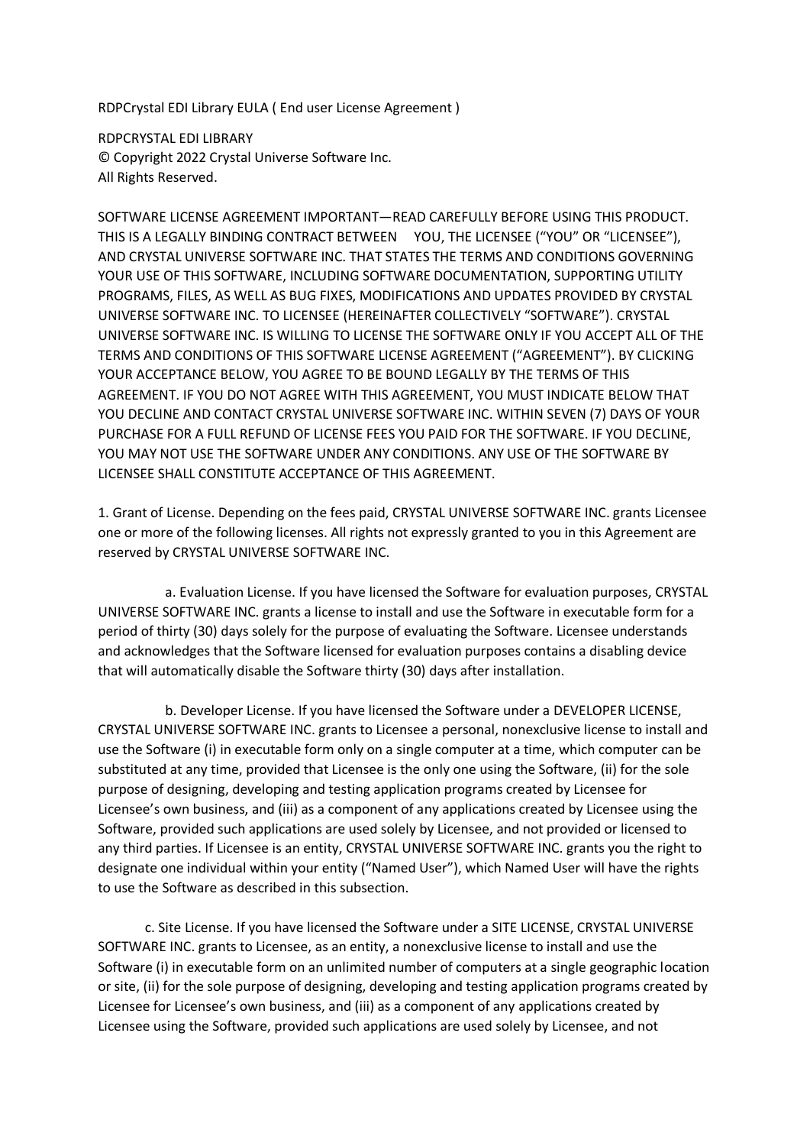RDPCrystal EDI Library EULA ( End user License Agreement )

RDPCRYSTAL EDI LIBRARY © Copyright 2022 Crystal Universe Software Inc. All Rights Reserved.

SOFTWARE LICENSE AGREEMENT IMPORTANT—READ CAREFULLY BEFORE USING THIS PRODUCT. THIS IS A LEGALLY BINDING CONTRACT BETWEEN YOU, THE LICENSEE ("YOU" OR "LICENSEE"), AND CRYSTAL UNIVERSE SOFTWARE INC. THAT STATES THE TERMS AND CONDITIONS GOVERNING YOUR USE OF THIS SOFTWARE, INCLUDING SOFTWARE DOCUMENTATION, SUPPORTING UTILITY PROGRAMS, FILES, AS WELL AS BUG FIXES, MODIFICATIONS AND UPDATES PROVIDED BY CRYSTAL UNIVERSE SOFTWARE INC. TO LICENSEE (HEREINAFTER COLLECTIVELY "SOFTWARE"). CRYSTAL UNIVERSE SOFTWARE INC. IS WILLING TO LICENSE THE SOFTWARE ONLY IF YOU ACCEPT ALL OF THE TERMS AND CONDITIONS OF THIS SOFTWARE LICENSE AGREEMENT ("AGREEMENT"). BY CLICKING YOUR ACCEPTANCE BELOW, YOU AGREE TO BE BOUND LEGALLY BY THE TERMS OF THIS AGREEMENT. IF YOU DO NOT AGREE WITH THIS AGREEMENT, YOU MUST INDICATE BELOW THAT YOU DECLINE AND CONTACT CRYSTAL UNIVERSE SOFTWARE INC. WITHIN SEVEN (7) DAYS OF YOUR PURCHASE FOR A FULL REFUND OF LICENSE FEES YOU PAID FOR THE SOFTWARE. IF YOU DECLINE, YOU MAY NOT USE THE SOFTWARE UNDER ANY CONDITIONS. ANY USE OF THE SOFTWARE BY LICENSEE SHALL CONSTITUTE ACCEPTANCE OF THIS AGREEMENT.

1. Grant of License. Depending on the fees paid, CRYSTAL UNIVERSE SOFTWARE INC. grants Licensee one or more of the following licenses. All rights not expressly granted to you in this Agreement are reserved by CRYSTAL UNIVERSE SOFTWARE INC.

 a. Evaluation License. If you have licensed the Software for evaluation purposes, CRYSTAL UNIVERSE SOFTWARE INC. grants a license to install and use the Software in executable form for a period of thirty (30) days solely for the purpose of evaluating the Software. Licensee understands and acknowledges that the Software licensed for evaluation purposes contains a disabling device that will automatically disable the Software thirty (30) days after installation.

 b. Developer License. If you have licensed the Software under a DEVELOPER LICENSE, CRYSTAL UNIVERSE SOFTWARE INC. grants to Licensee a personal, nonexclusive license to install and use the Software (i) in executable form only on a single computer at a time, which computer can be substituted at any time, provided that Licensee is the only one using the Software, (ii) for the sole purpose of designing, developing and testing application programs created by Licensee for Licensee's own business, and (iii) as a component of any applications created by Licensee using the Software, provided such applications are used solely by Licensee, and not provided or licensed to any third parties. If Licensee is an entity, CRYSTAL UNIVERSE SOFTWARE INC. grants you the right to designate one individual within your entity ("Named User"), which Named User will have the rights to use the Software as described in this subsection.

 c. Site License. If you have licensed the Software under a SITE LICENSE, CRYSTAL UNIVERSE SOFTWARE INC. grants to Licensee, as an entity, a nonexclusive license to install and use the Software (i) in executable form on an unlimited number of computers at a single geographic location or site, (ii) for the sole purpose of designing, developing and testing application programs created by Licensee for Licensee's own business, and (iii) as a component of any applications created by Licensee using the Software, provided such applications are used solely by Licensee, and not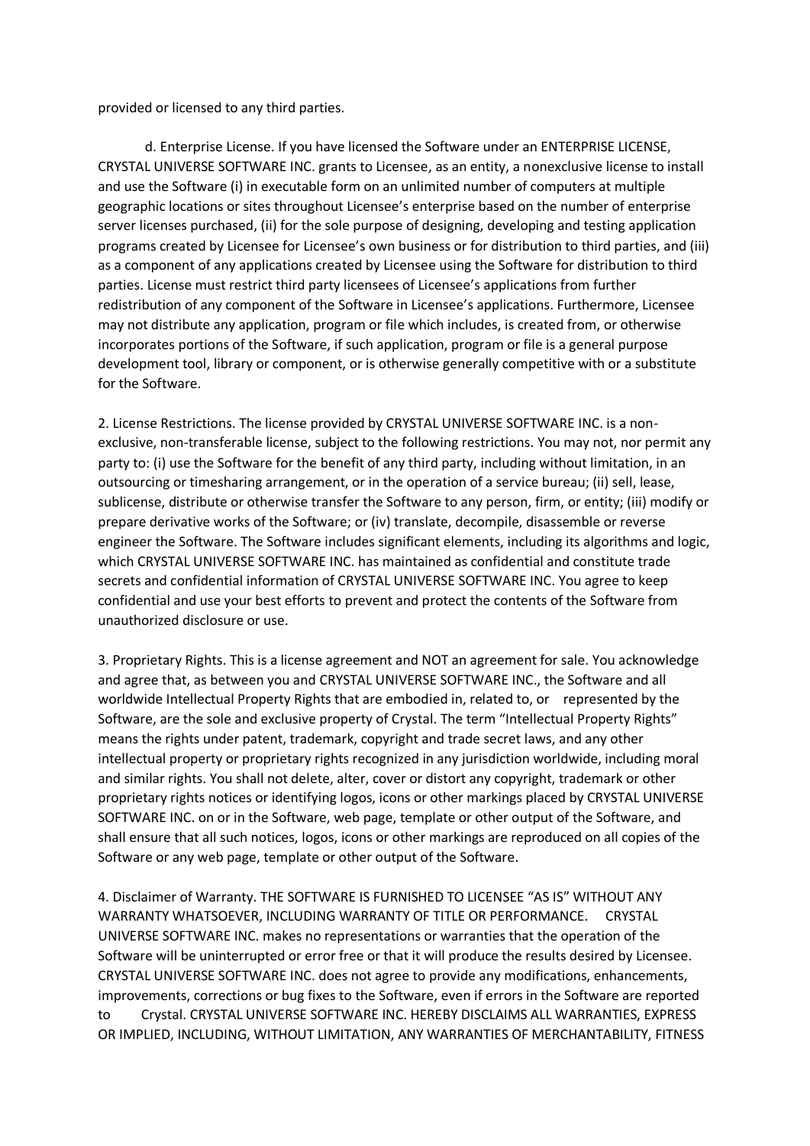provided or licensed to any third parties.

 d. Enterprise License. If you have licensed the Software under an ENTERPRISE LICENSE, CRYSTAL UNIVERSE SOFTWARE INC. grants to Licensee, as an entity, a nonexclusive license to install and use the Software (i) in executable form on an unlimited number of computers at multiple geographic locations or sites throughout Licensee's enterprise based on the number of enterprise server licenses purchased, (ii) for the sole purpose of designing, developing and testing application programs created by Licensee for Licensee's own business or for distribution to third parties, and (iii) as a component of any applications created by Licensee using the Software for distribution to third parties. License must restrict third party licensees of Licensee's applications from further redistribution of any component of the Software in Licensee's applications. Furthermore, Licensee may not distribute any application, program or file which includes, is created from, or otherwise incorporates portions of the Software, if such application, program or file is a general purpose development tool, library or component, or is otherwise generally competitive with or a substitute for the Software.

2. License Restrictions. The license provided by CRYSTAL UNIVERSE SOFTWARE INC. is a nonexclusive, non-transferable license, subject to the following restrictions. You may not, nor permit any party to: (i) use the Software for the benefit of any third party, including without limitation, in an outsourcing or timesharing arrangement, or in the operation of a service bureau; (ii) sell, lease, sublicense, distribute or otherwise transfer the Software to any person, firm, or entity; (iii) modify or prepare derivative works of the Software; or (iv) translate, decompile, disassemble or reverse engineer the Software. The Software includes significant elements, including its algorithms and logic, which CRYSTAL UNIVERSE SOFTWARE INC. has maintained as confidential and constitute trade secrets and confidential information of CRYSTAL UNIVERSE SOFTWARE INC. You agree to keep confidential and use your best efforts to prevent and protect the contents of the Software from unauthorized disclosure or use.

3. Proprietary Rights. This is a license agreement and NOT an agreement for sale. You acknowledge and agree that, as between you and CRYSTAL UNIVERSE SOFTWARE INC., the Software and all worldwide Intellectual Property Rights that are embodied in, related to, or represented by the Software, are the sole and exclusive property of Crystal. The term "Intellectual Property Rights" means the rights under patent, trademark, copyright and trade secret laws, and any other intellectual property or proprietary rights recognized in any jurisdiction worldwide, including moral and similar rights. You shall not delete, alter, cover or distort any copyright, trademark or other proprietary rights notices or identifying logos, icons or other markings placed by CRYSTAL UNIVERSE SOFTWARE INC. on or in the Software, web page, template or other output of the Software, and shall ensure that all such notices, logos, icons or other markings are reproduced on all copies of the Software or any web page, template or other output of the Software.

4. Disclaimer of Warranty. THE SOFTWARE IS FURNISHED TO LICENSEE "AS IS" WITHOUT ANY WARRANTY WHATSOEVER, INCLUDING WARRANTY OF TITLE OR PERFORMANCE. CRYSTAL UNIVERSE SOFTWARE INC. makes no representations or warranties that the operation of the Software will be uninterrupted or error free or that it will produce the results desired by Licensee. CRYSTAL UNIVERSE SOFTWARE INC. does not agree to provide any modifications, enhancements, improvements, corrections or bug fixes to the Software, even if errors in the Software are reported to Crystal. CRYSTAL UNIVERSE SOFTWARE INC. HEREBY DISCLAIMS ALL WARRANTIES, EXPRESS OR IMPLIED, INCLUDING, WITHOUT LIMITATION, ANY WARRANTIES OF MERCHANTABILITY, FITNESS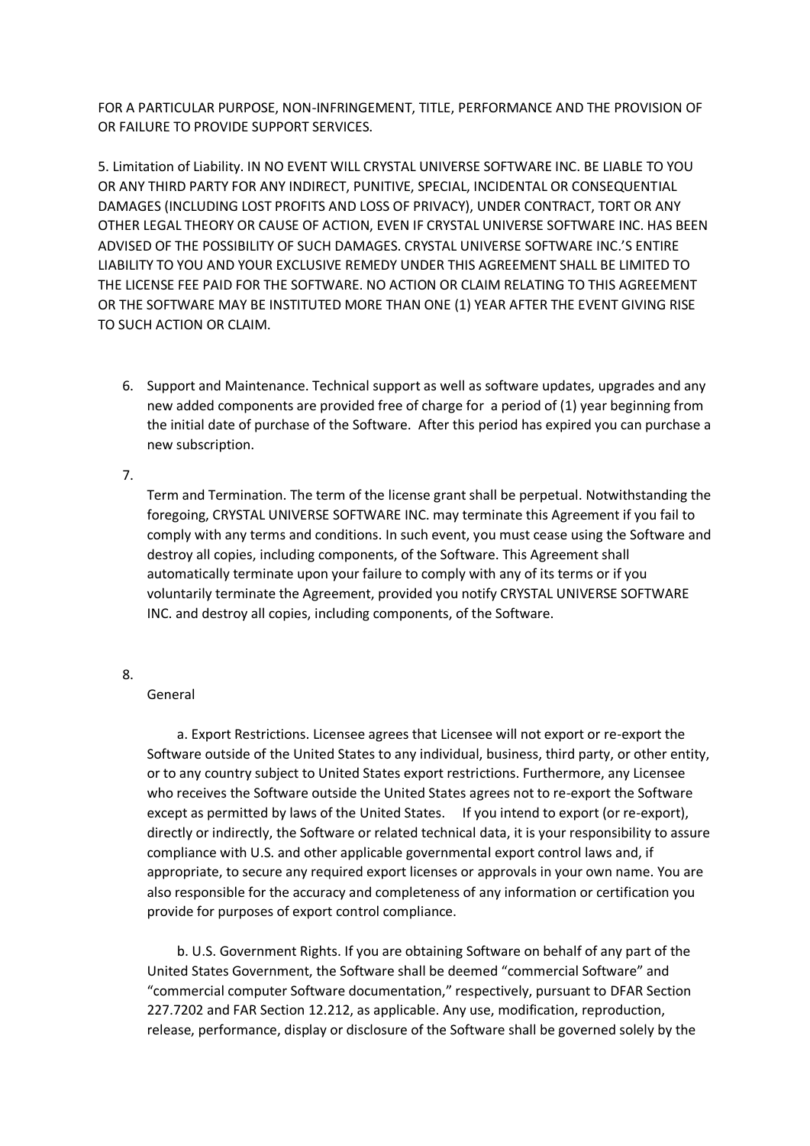FOR A PARTICULAR PURPOSE, NON-INFRINGEMENT, TITLE, PERFORMANCE AND THE PROVISION OF OR FAILURE TO PROVIDE SUPPORT SERVICES.

5. Limitation of Liability. IN NO EVENT WILL CRYSTAL UNIVERSE SOFTWARE INC. BE LIABLE TO YOU OR ANY THIRD PARTY FOR ANY INDIRECT, PUNITIVE, SPECIAL, INCIDENTAL OR CONSEQUENTIAL DAMAGES (INCLUDING LOST PROFITS AND LOSS OF PRIVACY), UNDER CONTRACT, TORT OR ANY OTHER LEGAL THEORY OR CAUSE OF ACTION, EVEN IF CRYSTAL UNIVERSE SOFTWARE INC. HAS BEEN ADVISED OF THE POSSIBILITY OF SUCH DAMAGES. CRYSTAL UNIVERSE SOFTWARE INC.'S ENTIRE LIABILITY TO YOU AND YOUR EXCLUSIVE REMEDY UNDER THIS AGREEMENT SHALL BE LIMITED TO THE LICENSE FEE PAID FOR THE SOFTWARE. NO ACTION OR CLAIM RELATING TO THIS AGREEMENT OR THE SOFTWARE MAY BE INSTITUTED MORE THAN ONE (1) YEAR AFTER THE EVENT GIVING RISE TO SUCH ACTION OR CLAIM.

6. Support and Maintenance. Technical support as well as software updates, upgrades and any new added components are provided free of charge for a period of (1) year beginning from the initial date of purchase of the Software. After this period has expired you can purchase a new subscription.

## 7.

Term and Termination. The term of the license grant shall be perpetual. Notwithstanding the foregoing, CRYSTAL UNIVERSE SOFTWARE INC. may terminate this Agreement if you fail to comply with any terms and conditions. In such event, you must cease using the Software and destroy all copies, including components, of the Software. This Agreement shall automatically terminate upon your failure to comply with any of its terms or if you voluntarily terminate the Agreement, provided you notify CRYSTAL UNIVERSE SOFTWARE INC. and destroy all copies, including components, of the Software.

## 8.

## General

 a. Export Restrictions. Licensee agrees that Licensee will not export or re-export the Software outside of the United States to any individual, business, third party, or other entity, or to any country subject to United States export restrictions. Furthermore, any Licensee who receives the Software outside the United States agrees not to re-export the Software except as permitted by laws of the United States. If you intend to export (or re-export), directly or indirectly, the Software or related technical data, it is your responsibility to assure compliance with U.S. and other applicable governmental export control laws and, if appropriate, to secure any required export licenses or approvals in your own name. You are also responsible for the accuracy and completeness of any information or certification you provide for purposes of export control compliance.

 b. U.S. Government Rights. If you are obtaining Software on behalf of any part of the United States Government, the Software shall be deemed "commercial Software" and "commercial computer Software documentation," respectively, pursuant to DFAR Section 227.7202 and FAR Section 12.212, as applicable. Any use, modification, reproduction, release, performance, display or disclosure of the Software shall be governed solely by the